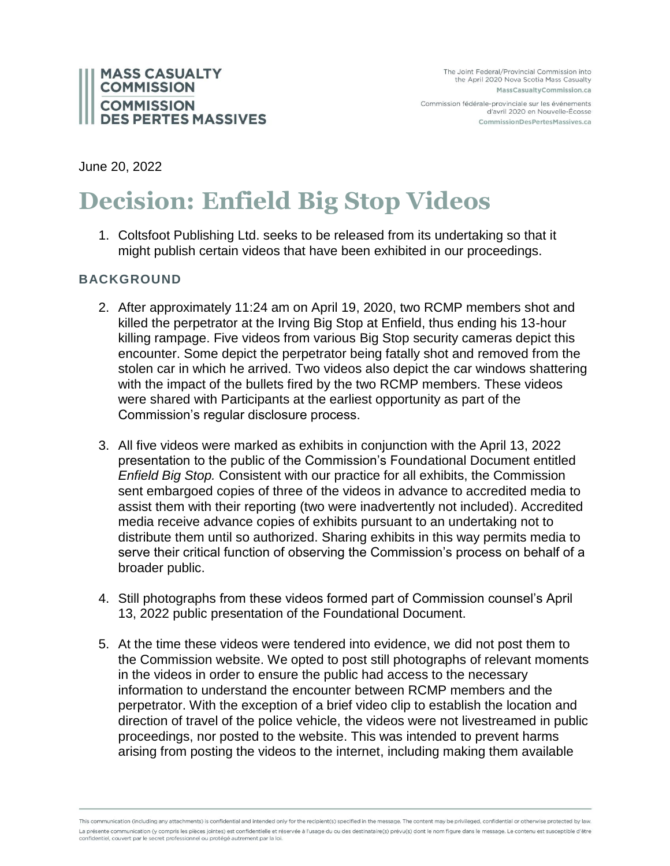

Commission fédérale-provinciale sur les événements d'avril 2020 en Nouvelle-Écosse CommissionDesPertesMassives.ca

June 20, 2022

## **Decision: Enfield Big Stop Videos**

1. Coltsfoot Publishing Ltd. seeks to be released from its undertaking so that it might publish certain videos that have been exhibited in our proceedings.

## **BACKGROUND**

- 2. After approximately 11:24 am on April 19, 2020, two RCMP members shot and killed the perpetrator at the Irving Big Stop at Enfield, thus ending his 13-hour killing rampage. Five videos from various Big Stop security cameras depict this encounter. Some depict the perpetrator being fatally shot and removed from the stolen car in which he arrived. Two videos also depict the car windows shattering with the impact of the bullets fired by the two RCMP members. These videos were shared with Participants at the earliest opportunity as part of the Commission's regular disclosure process.
- 3. All five videos were marked as exhibits in conjunction with the April 13, 2022 presentation to the public of the Commission's Foundational Document entitled *Enfield Big Stop.* Consistent with our practice for all exhibits, the Commission sent embargoed copies of three of the videos in advance to accredited media to assist them with their reporting (two were inadvertently not included). Accredited media receive advance copies of exhibits pursuant to an undertaking not to distribute them until so authorized. Sharing exhibits in this way permits media to serve their critical function of observing the Commission's process on behalf of a broader public.
- 4. Still photographs from these videos formed part of Commission counsel's April 13, 2022 public presentation of the Foundational Document.
- 5. At the time these videos were tendered into evidence, we did not post them to the Commission website. We opted to post still photographs of relevant moments in the videos in order to ensure the public had access to the necessary information to understand the encounter between RCMP members and the perpetrator. With the exception of a brief video clip to establish the location and direction of travel of the police vehicle, the videos were not livestreamed in public proceedings, nor posted to the website. This was intended to prevent harms arising from posting the videos to the internet, including making them available

This communication (including any attachments) is confidential and intended only for the recipient(s) specified in the message. The content may be privileged, confidential or otherwise protected by law. La présente communication (y compris les pièces jointes) est confidentielle et réservée à l'usage du ou des destinataire(s) prévu(s) dont le nom figure dans le message. Le contenu est susceptible d'être confidentiel, couvert par le secret professionnel ou protégé autrement par la loi.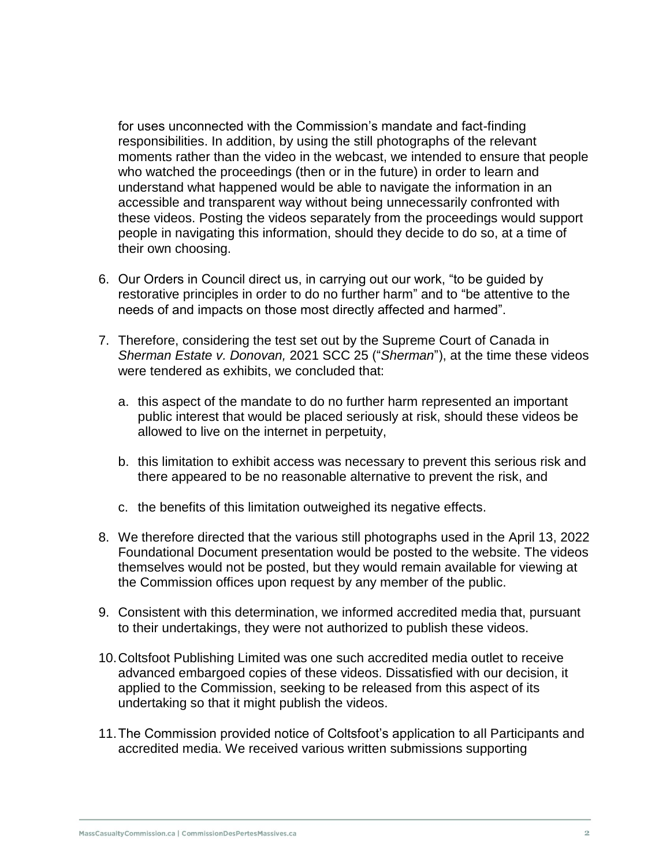for uses unconnected with the Commission's mandate and fact-finding responsibilities. In addition, by using the still photographs of the relevant moments rather than the video in the webcast, we intended to ensure that people who watched the proceedings (then or in the future) in order to learn and understand what happened would be able to navigate the information in an accessible and transparent way without being unnecessarily confronted with these videos. Posting the videos separately from the proceedings would support people in navigating this information, should they decide to do so, at a time of their own choosing.

- 6. Our Orders in Council direct us, in carrying out our work, "to be guided by restorative principles in order to do no further harm" and to "be attentive to the needs of and impacts on those most directly affected and harmed".
- 7. Therefore, considering the test set out by the Supreme Court of Canada in *Sherman Estate v. Donovan,* 2021 SCC 25 ("*Sherman*"), at the time these videos were tendered as exhibits, we concluded that:
	- a. this aspect of the mandate to do no further harm represented an important public interest that would be placed seriously at risk, should these videos be allowed to live on the internet in perpetuity,
	- b. this limitation to exhibit access was necessary to prevent this serious risk and there appeared to be no reasonable alternative to prevent the risk, and
	- c. the benefits of this limitation outweighed its negative effects.
- 8. We therefore directed that the various still photographs used in the April 13, 2022 Foundational Document presentation would be posted to the website. The videos themselves would not be posted, but they would remain available for viewing at the Commission offices upon request by any member of the public.
- 9. Consistent with this determination, we informed accredited media that, pursuant to their undertakings, they were not authorized to publish these videos.
- 10.Coltsfoot Publishing Limited was one such accredited media outlet to receive advanced embargoed copies of these videos. Dissatisfied with our decision, it applied to the Commission, seeking to be released from this aspect of its undertaking so that it might publish the videos.
- 11.The Commission provided notice of Coltsfoot's application to all Participants and accredited media. We received various written submissions supporting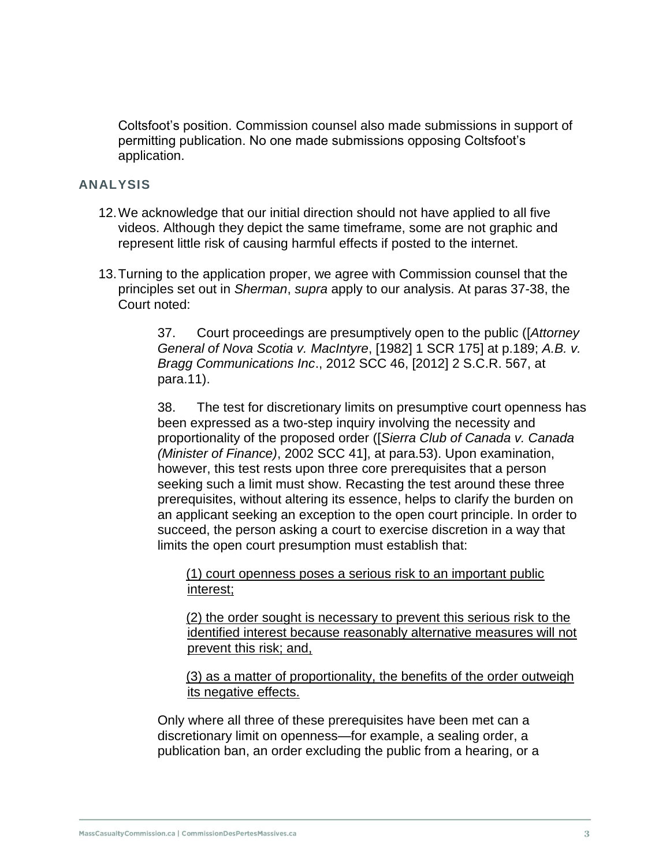Coltsfoot's position. Commission counsel also made submissions in support of permitting publication. No one made submissions opposing Coltsfoot's application.

## **ANALYSIS**

- 12.We acknowledge that our initial direction should not have applied to all five videos. Although they depict the same timeframe, some are not graphic and represent little risk of causing harmful effects if posted to the internet.
- 13.Turning to the application proper, we agree with Commission counsel that the principles set out in *Sherman*, *supra* apply to our analysis. At paras 37-38, the Court noted:

37. Court proceedings are presumptively open to the public ([*Attorney General of Nova Scotia v. MacIntyre*, [1982] 1 SCR 175] at p.189; *A.B. v. Bragg Communications Inc*., 2012 SCC 46, [2012] 2 S.C.R. 567, at para.11).

38. The test for discretionary limits on presumptive court openness has been expressed as a two-step inquiry involving the necessity and proportionality of the proposed order ([*Sierra Club of Canada v. Canada (Minister of Finance)*, 2002 SCC 41], at para.53). Upon examination, however, this test rests upon three core prerequisites that a person seeking such a limit must show. Recasting the test around these three prerequisites, without altering its essence, helps to clarify the burden on an applicant seeking an exception to the open court principle. In order to succeed, the person asking a court to exercise discretion in a way that limits the open court presumption must establish that:

(1) court openness poses a serious risk to an important public interest;

(2) the order sought is necessary to prevent this serious risk to the identified interest because reasonably alternative measures will not prevent this risk; and,

(3) as a matter of proportionality, the benefits of the order outweigh its negative effects.

Only where all three of these prerequisites have been met can a discretionary limit on openness—for example, a sealing order, a publication ban, an order excluding the public from a hearing, or a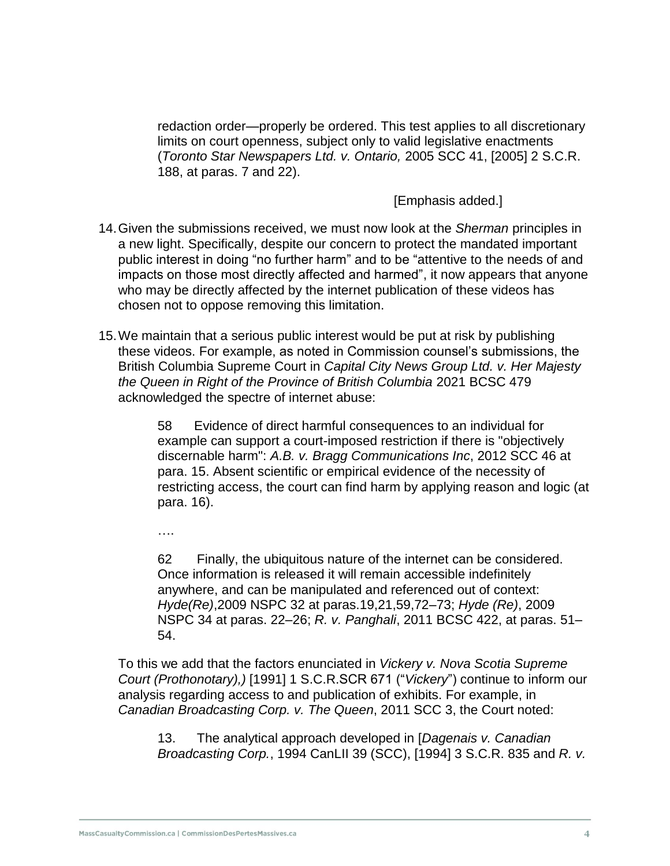redaction order—properly be ordered. This test applies to all discretionary limits on court openness, subject only to valid legislative enactments (*Toronto Star Newspapers Ltd. v. Ontario,* 2005 SCC 41, [2005] 2 S.C.R. 188, at paras. 7 and 22).

[Emphasis added.]

- 14.Given the submissions received, we must now look at the *Sherman* principles in a new light. Specifically, despite our concern to protect the mandated important public interest in doing "no further harm" and to be "attentive to the needs of and impacts on those most directly affected and harmed", it now appears that anyone who may be directly affected by the internet publication of these videos has chosen not to oppose removing this limitation.
- 15.We maintain that a serious public interest would be put at risk by publishing these videos. For example, as noted in Commission counsel's submissions, the British Columbia Supreme Court in *Capital City News Group Ltd. v. Her Majesty the Queen in Right of the Province of British Columbia* 2021 BCSC 479 acknowledged the spectre of internet abuse:

58 Evidence of direct harmful consequences to an individual for example can support a court-imposed restriction if there is "objectively discernable harm": *A.B. v. Bragg Communications Inc*, 2012 SCC 46 at para. 15. Absent scientific or empirical evidence of the necessity of restricting access, the court can find harm by applying reason and logic (at para. 16).

….

62 Finally, the ubiquitous nature of the internet can be considered. Once information is released it will remain accessible indefinitely anywhere, and can be manipulated and referenced out of context: *Hyde(Re)*,2009 NSPC 32 at paras.19,21,59,72–73; *Hyde (Re)*, 2009 NSPC 34 at paras. 22–26; *R. v. Panghali*, 2011 BCSC 422, at paras. 51– 54.

To this we add that the factors enunciated in *Vickery v. Nova Scotia Supreme Court (Prothonotary),)* [1991] 1 S.C.R.SCR 671 ("*Vickery*") continue to inform our analysis regarding access to and publication of exhibits. For example, in *Canadian Broadcasting Corp. v. The Queen*, 2011 SCC 3, the Court noted:

13. The analytical approach developed in [*Dagenais v. Canadian Broadcasting Corp.*, 1994 CanLII 39 (SCC), [1994] 3 S.C.R. 835 and *R. v.*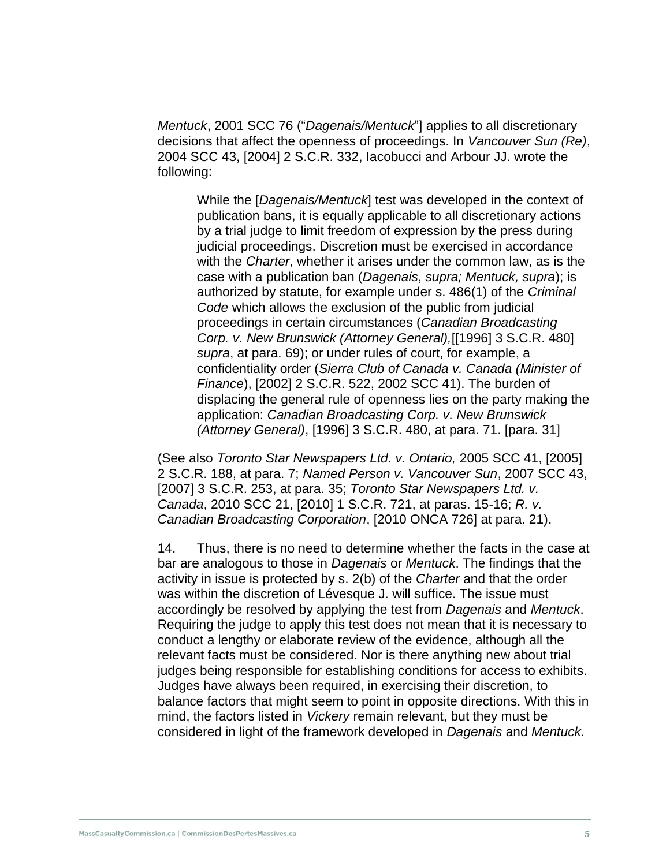*Mentuck*, 2001 SCC 76 ("*Dagenais/Mentuck*"] applies to all discretionary decisions that affect the openness of proceedings. In *Vancouver Sun (Re)*, 2004 SCC 43, [2004] 2 S.C.R. 332, Iacobucci and Arbour JJ. wrote the following:

While the [*Dagenais/Mentuck*] test was developed in the context of publication bans, it is equally applicable to all discretionary actions by a trial judge to limit freedom of expression by the press during judicial proceedings. Discretion must be exercised in accordance with the *Charter*, whether it arises under the common law, as is the case with a publication ban (*Dagenais*, *supra; Mentuck, supra*); is authorized by statute, for example under s. 486(1) of the *Criminal Code* which allows the exclusion of the public from judicial proceedings in certain circumstances (*Canadian Broadcasting Corp. v. New Brunswick (Attorney General),*[[1996] 3 S.C.R. 480] *supra*, at para. 69); or under rules of court, for example, a confidentiality order (*Sierra Club of Canada v. Canada (Minister of Finance*), [2002] 2 S.C.R. 522, 2002 SCC 41). The burden of displacing the general rule of openness lies on the party making the application: *Canadian Broadcasting Corp. v. New Brunswick (Attorney General)*, [1996] 3 S.C.R. 480, at para. 71. [para. 31]

(See also *Toronto Star Newspapers Ltd. v. Ontario,* 2005 SCC 41, [2005] 2 S.C.R. 188, at para. 7; *Named Person v. Vancouver Sun*, 2007 SCC 43, [2007] 3 S.C.R. 253, at para. 35; *Toronto Star Newspapers Ltd. v. Canada*, 2010 SCC 21, [2010] 1 S.C.R. 721, at paras. 15-16; *R. v. Canadian Broadcasting Corporation*, [2010 ONCA 726] at para. 21).

14. Thus, there is no need to determine whether the facts in the case at bar are analogous to those in *Dagenais* or *Mentuck*. The findings that the activity in issue is protected by s. 2(b) of the *Charter* and that the order was within the discretion of Lévesque J. will suffice. The issue must accordingly be resolved by applying the test from *Dagenais* and *Mentuck*. Requiring the judge to apply this test does not mean that it is necessary to conduct a lengthy or elaborate review of the evidence, although all the relevant facts must be considered. Nor is there anything new about trial judges being responsible for establishing conditions for access to exhibits. Judges have always been required, in exercising their discretion, to balance factors that might seem to point in opposite directions. With this in mind, the factors listed in *Vickery* remain relevant, but they must be considered in light of the framework developed in *Dagenais* and *Mentuck*.